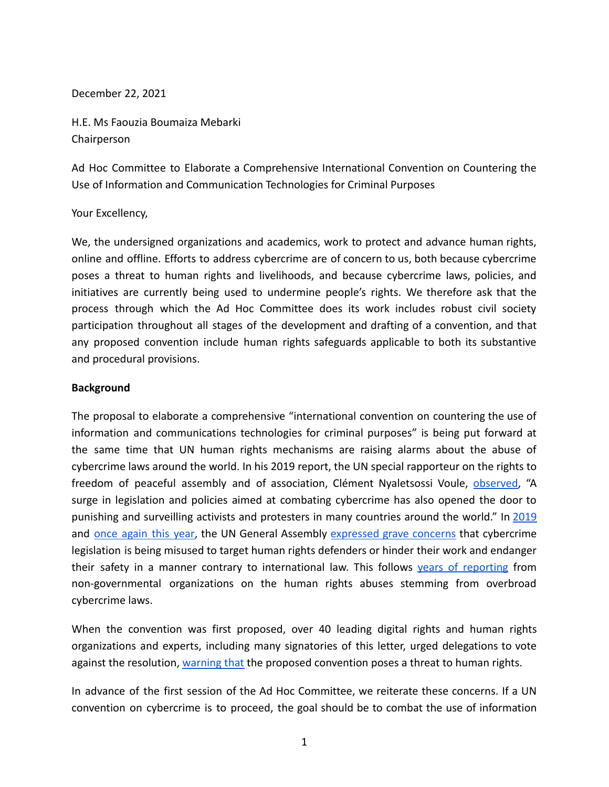December 22, 2021

H.E. Ms Faouzia Boumaiza Mebarki **Chairperson** 

Ad Hoc Committee to Elaborate a Comprehensive International Convention on Countering the Use of Information and Communication Technologies for Criminal Purposes

## Your Excellency,

We, the undersigned organizations and academics, work to protect and advance human rights, online and offline. Efforts to address cybercrime are of concern to us, both because cybercrime poses a threat to human rights and livelihoods, and because cybercrime laws, policies, and initiatives are currently being used to undermine people's rights. We therefore ask that the process through which the Ad Hoc Committee does its work includes robust civil society participation throughout all stages of the development and drafting of a convention, and that any proposed convention include human rights safeguards applicable to both its substantive and procedural provisions.

### **Background**

The proposal to elaborate a comprehensive "international convention on countering the use of information and communications technologies for criminal purposes" is being put forward at the same time that UN human rights mechanisms are raising alarms about the abuse of cybercrime laws around the world. In his 2019 report, the UN special rapporteur on the rights to freedom of peaceful assembly and of association, Clément Nyaletsossi Voule, [observed](https://ap.ohchr.org/documents/dpage_e.aspx?si=A/HRC/41/41), "A surge in legislation and policies aimed at combating cybercrime has also opened the door to punishing and surveilling activists and protesters in many countries around the world." In [2019](https://undocs.org/en/A/RES/74/146) and once [again](https://undocs.org/A/C.3/76/L.51/Rev.1) this year, the UN General Assembly [expressed](https://undocs.org/en/A/RES/74/146) grave concerns that cybercrime legislation is being misused to target human rights defenders or hinder their work and endanger their safety in a manner contrary to international law. This follows vears of [reporting](https://www.hrw.org/news/2021/05/05/abuse-cybercrime-measures-taints-un-talks) from non-governmental organizations on the human rights abuses stemming from overbroad cybercrime laws.

When the convention was first proposed, over 40 leading digital rights and human rights organizations and experts, including many signatories of this letter, urged delegations to vote against the resolution, [warning that](https://www.apc.org/en/pubs/open-letter-un-general-assembly-proposed-international-convention-cybercrime-poses-threat-human) the proposed convention poses a threat to human rights.

In advance of the first session of the Ad Hoc Committee, we reiterate these concerns. If a UN convention on cybercrime is to proceed, the goal should be to combat the use of information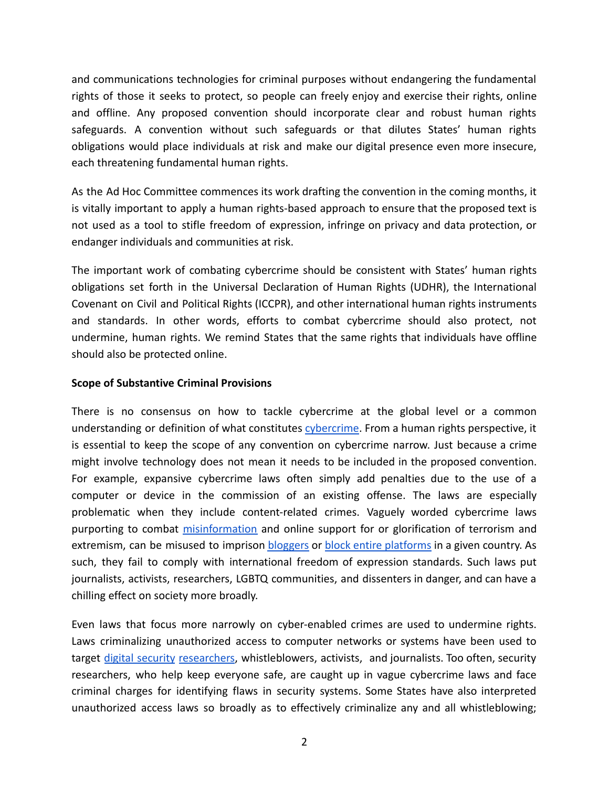and communications technologies for criminal purposes without endangering the fundamental rights of those it seeks to protect, so people can freely enjoy and exercise their rights, online and offline. Any proposed convention should incorporate clear and robust human rights safeguards. A convention without such safeguards or that dilutes States' human rights obligations would place individuals at risk and make our digital presence even more insecure, each threatening fundamental human rights.

As the Ad Hoc Committee commences its work drafting the convention in the coming months, it is vitally important to apply a human rights-based approach to ensure that the proposed text is not used as a tool to stifle freedom of expression, infringe on privacy and data protection, or endanger individuals and communities at risk.

The important work of combating cybercrime should be consistent with States' human rights obligations set forth in the Universal Declaration of Human Rights (UDHR), the International Covenant on Civil and Political Rights (ICCPR), and other international human rights instruments and standards. In other words, efforts to combat cybercrime should also protect, not undermine, human rights. We remind States that the same rights that individuals have offline should also be protected online.

## **Scope of Substantive Criminal Provisions**

There is no consensus on how to tackle cybercrime at the global level or a common understanding or definition of what constitutes [cybercrime](https://www.unodc.org/documents/organized-crime/UNODC_CCPCJ_EG.4_2013/CYBERCRIME_STUDY_210213.pdf). From a human rights perspective, it is essential to keep the scope of any convention on cybercrime narrow. Just because a crime might involve technology does not mean it needs to be included in the proposed convention. For example, expansive cybercrime laws often simply add penalties due to the use of a computer or device in the commission of an existing offense. The laws are especially problematic when they include content-related crimes. Vaguely worded cybercrime laws purporting to combat [misinformation](https://www.article19.org/resources/thailand-fake-news-undermine-freedom-of-expression/) and online support for or glorification of terrorism and extremism, can be misused to imprison [bloggers](https://www.article19.org/resources/egypt-end-harassment-of-rights-defender/) or block entire [platforms](https://www.accessnow.org/egyptian-parliament-approves-cybercrime-law-legalizing-blocking-of-websites-and-full-surveillance-of-egyptians/) in a given country. As such, they fail to comply with international freedom of expression standards. Such laws put journalists, activists, researchers, LGBTQ communities, and dissenters in danger, and can have a chilling effect on society more broadly.

Even laws that focus more narrowly on cyber-enabled crimes are used to undermine rights. Laws criminalizing unauthorized access to computer networks or systems have been used to target digital [security](https://www.eff.org/deeplinks/2021/06/eff-ecuadors-human-rights-secretariat-protecting-security-experts-vital-safeguard) [researchers](https://www.eff.org/deeplinks/2019/11/raid-javier-smaldone-argentinian-authorities-have-restarted-their-harassment-e), whistleblowers, activists, and journalists. Too often, security researchers, who help keep everyone safe, are caught up in vague cybercrime laws and face criminal charges for identifying flaws in security systems. Some States have also interpreted unauthorized access laws so broadly as to effectively criminalize any and all whistleblowing;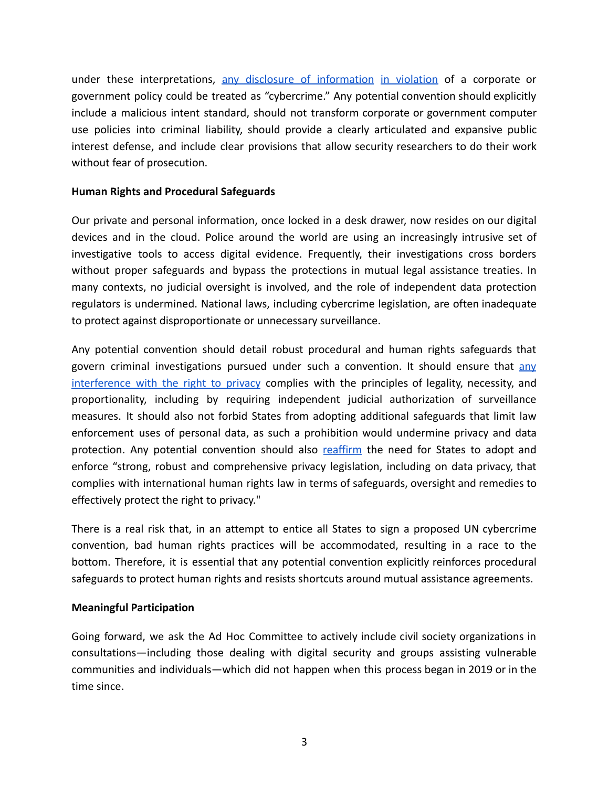under these interpretations, any disclosure of [information](https://nationalpost.com/news/canada/u-s-whistleblower-chelsea-manning-challenging-secrecy-laws-barring-her-from-canada) in [violation](https://www.eff.org/document/us-v-chelsea-manning-eff-amicus-brief) of a corporate or government policy could be treated as "cybercrime." Any potential convention should explicitly include a malicious intent standard, should not transform corporate or government computer use policies into criminal liability, should provide a clearly articulated and expansive public interest defense, and include clear provisions that allow security researchers to do their work without fear of prosecution.

# **Human Rights and Procedural Safeguards**

Our private and personal information, once locked in a desk drawer, now resides on our digital devices and in the cloud. Police around the world are using an increasingly intrusive set of investigative tools to access digital evidence. Frequently, their investigations cross borders without proper safeguards and bypass the protections in mutual legal assistance treaties. In many contexts, no judicial oversight is involved, and the role of independent data protection regulators is undermined. National laws, including cybercrime legislation, are often inadequate to protect against disproportionate or unnecessary surveillance.

Any potential convention should detail robust procedural and human rights safeguards that govern criminal investigations pursued under such a convention. It should ensure that [any](https://necessaryandproportionate.org/principles/) [interference](https://necessaryandproportionate.org/principles/) with the right to privacy complies with the principles of legality, necessity, and proportionality, including by requiring independent judicial authorization of surveillance measures. It should also not forbid States from adopting additional safeguards that limit law enforcement uses of personal data, as such a prohibition would undermine privacy and data protection. Any potential convention should also [reaffirm](https://www.ohchr.org/Documents/Issues/DigitalAge/ReportPrivacyinDigitalAge/A_HRC_39_29_EN.pdf) the need for States to adopt and enforce "strong, robust and comprehensive privacy legislation, including on data privacy, that complies with international human rights law in terms of safeguards, oversight and remedies to effectively protect the right to privacy."

There is a real risk that, in an attempt to entice all States to sign a proposed UN cybercrime convention, bad human rights practices will be accommodated, resulting in a race to the bottom. Therefore, it is essential that any potential convention explicitly reinforces procedural safeguards to protect human rights and resists shortcuts around mutual assistance agreements.

## **Meaningful Participation**

Going forward, we ask the Ad Hoc Committee to actively include civil society organizations in consultations—including those dealing with digital security and groups assisting vulnerable communities and individuals—which did not happen when this process began in 2019 or in the time since.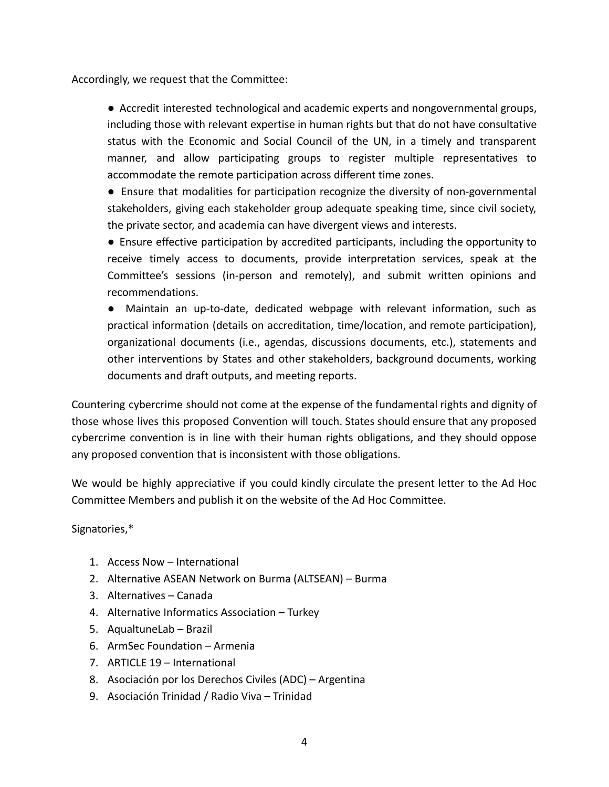Accordingly, we request that the Committee:

● Accredit interested technological and academic experts and nongovernmental groups, including those with relevant expertise in human rights but that do not have consultative status with the Economic and Social Council of the UN, in a timely and transparent manner, and allow participating groups to register multiple representatives to accommodate the remote participation across different time zones.

● Ensure that modalities for participation recognize the diversity of non-governmental stakeholders, giving each stakeholder group adequate speaking time, since civil society, the private sector, and academia can have divergent views and interests.

● Ensure effective participation by accredited participants, including the opportunity to receive timely access to documents, provide interpretation services, speak at the Committee's sessions (in-person and remotely), and submit written opinions and recommendations.

● Maintain an up-to-date, dedicated webpage with relevant information, such as practical information (details on accreditation, time/location, and remote participation), organizational documents (i.e., agendas, discussions documents, etc.), statements and other interventions by States and other stakeholders, background documents, working documents and draft outputs, and meeting reports.

Countering cybercrime should not come at the expense of the fundamental rights and dignity of those whose lives this proposed Convention will touch. States should ensure that any proposed cybercrime convention is in line with their human rights obligations, and they should oppose any proposed convention that is inconsistent with those obligations.

We would be highly appreciative if you could kindly circulate the present letter to the Ad Hoc Committee Members and publish it on the website of the Ad Hoc Committee.

Signatories,\*

- 1. Access Now International
- 2. Alternative ASEAN Network on Burma (ALTSEAN) Burma
- 3. Alternatives Canada
- 4. Alternative Informatics Association Turkey
- 5. AqualtuneLab Brazil
- 6. ArmSec Foundation Armenia
- 7. ARTICLE 19 International
- 8. Asociación por los Derechos Civiles (ADC) Argentina
- 9. Asociación Trinidad / Radio Viva Trinidad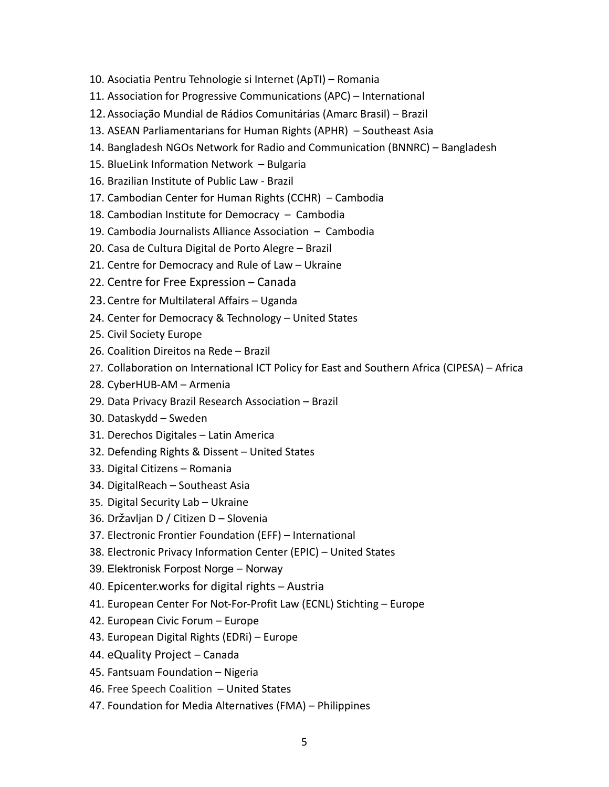- 10. Asociatia Pentru Tehnologie si Internet (ApTI) Romania
- 11. Association for Progressive Communications (APC) International
- 12.Associação Mundial de Rádios Comunitárias (Amarc Brasil) Brazil
- 13. ASEAN Parliamentarians for Human Rights (APHR) Southeast Asia
- 14. Bangladesh NGOs Network for Radio and Communication (BNNRC) Bangladesh
- 15. BlueLink Information Network Bulgaria
- 16. Brazilian Institute of Public Law Brazil
- 17. Cambodian Center for Human Rights (CCHR) Cambodia
- 18. Cambodian Institute for Democracy Cambodia
- 19. Cambodia Journalists Alliance Association Cambodia
- 20. Casa de Cultura Digital de Porto Alegre Brazil
- 21. Centre for Democracy and Rule of Law Ukraine
- 22. Centre for Free Expression Canada
- 23.Centre for Multilateral Affairs Uganda
- 24. Center for Democracy & Technology United States
- 25. Civil Society Europe
- 26. Coalition Direitos na Rede Brazil
- 27. Collaboration on International ICT Policy for East and Southern Africa (CIPESA) Africa
- 28. CyberHUB-AM Armenia
- 29. Data Privacy Brazil Research Association Brazil
- 30. Dataskydd Sweden
- 31. Derechos Digitales Latin America
- 32. Defending Rights & Dissent United States
- 33. Digital Citizens Romania
- 34. DigitalReach Southeast Asia
- 35. Digital Security Lab Ukraine
- 36. Državljan D / Citizen D Slovenia
- 37. Electronic Frontier Foundation (EFF) International
- 38. Electronic Privacy Information Center (EPIC) United States
- 39. Elektronisk Forpost Norge Norway
- 40. Epicenter.works for digital rights Austria
- 41. European Center For Not-For-Profit Law (ECNL) Stichting Europe
- 42. European Civic Forum Europe
- 43. European Digital Rights (EDRi) Europe
- 44. eQuality Project Canada
- 45. Fantsuam Foundation Nigeria
- 46. Free Speech Coalition United States
- 47. Foundation for Media Alternatives (FMA) Philippines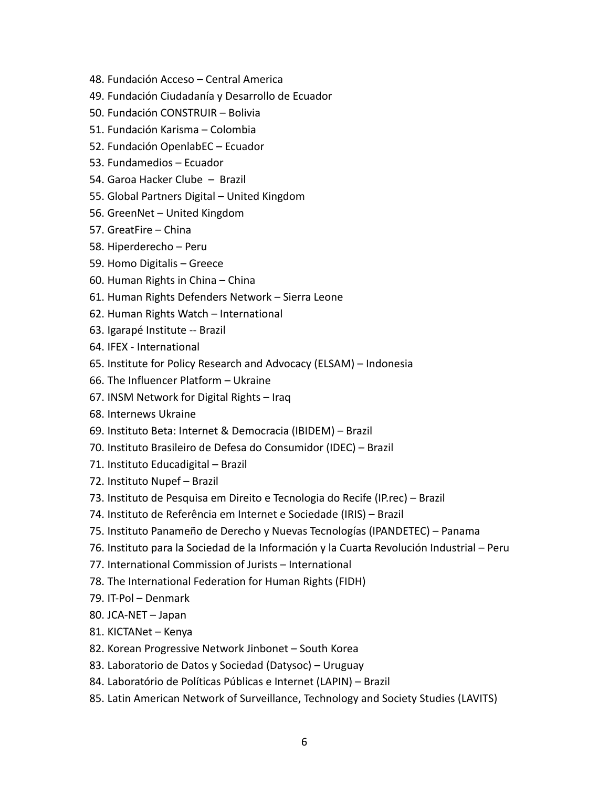- 48. Fundación Acceso Central America
- 49. Fundación Ciudadanía y Desarrollo de Ecuador
- 50. Fundación CONSTRUIR Bolivia
- 51. Fundación Karisma Colombia
- 52. Fundación OpenlabEC Ecuador
- 53. Fundamedios Ecuador
- 54. Garoa Hacker Clube Brazil
- 55. Global Partners Digital United Kingdom
- 56. GreenNet United Kingdom
- 57. GreatFire China
- 58. Hiperderecho Peru
- 59. Homo Digitalis Greece
- 60. Human Rights in China China
- 61. Human Rights Defenders Network Sierra Leone
- 62. Human Rights Watch International
- 63. Igarapé Institute -- Brazil
- 64. IFEX International
- 65. Institute for Policy Research and Advocacy (ELSAM) Indonesia
- 66. The Influencer Platform Ukraine
- 67. INSM Network for Digital Rights Iraq
- 68. Internews Ukraine
- 69. Instituto Beta: Internet & Democracia (IBIDEM) Brazil
- 70. Instituto Brasileiro de Defesa do Consumidor (IDEC) Brazil
- 71. Instituto Educadigital Brazil
- 72. Instituto Nupef Brazil
- 73. Instituto de Pesquisa em Direito e Tecnologia do Recife (IP.rec) Brazil
- 74. Instituto de Referência em Internet e Sociedade (IRIS) Brazil
- 75. Instituto Panameño de Derecho y Nuevas Tecnologías (IPANDETEC) Panama
- 76. Instituto para la Sociedad de la Información y la Cuarta Revolución Industrial Peru
- 77. International Commission of Jurists International
- 78. The International Federation for Human Rights (FIDH)
- 79. IT-Pol Denmark
- 80. JCA-NET Japan
- 81. KICTANet Kenya
- 82. Korean Progressive Network Jinbonet South Korea
- 83. Laboratorio de Datos y Sociedad (Datysoc) Uruguay
- 84. Laboratório de Políticas Públicas e Internet (LAPIN) Brazil
- 85. Latin American Network of Surveillance, Technology and Society Studies (LAVITS)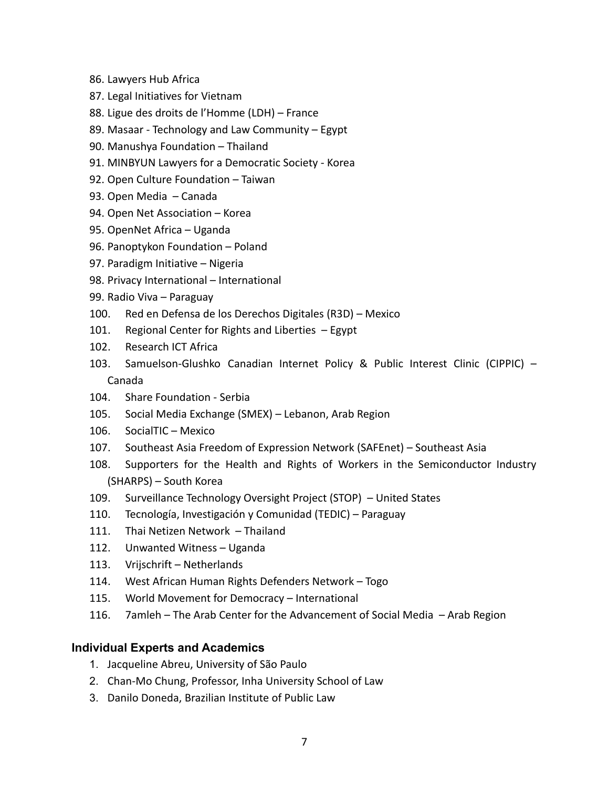- 86. Lawyers Hub Africa
- 87. Legal Initiatives for Vietnam
- 88. Ligue des droits de l'Homme (LDH) France
- 89. Masaar Technology and Law Community Egypt
- 90. Manushya Foundation Thailand
- 91. MINBYUN Lawyers for a Democratic Society Korea
- 92. Open Culture Foundation Taiwan
- 93. Open Media Canada
- 94. Open Net Association Korea
- 95. OpenNet Africa Uganda
- 96. Panoptykon Foundation Poland
- 97. Paradigm Initiative Nigeria
- 98. Privacy International International
- 99. Radio Viva Paraguay
- 100. Red en Defensa de los Derechos Digitales (R3D) Mexico
- 101. Regional Center for Rights and Liberties Egypt
- 102. Research ICT Africa
- 103. Samuelson-Glushko Canadian Internet Policy & Public Interest Clinic (CIPPIC) Canada
- 104. Share Foundation Serbia
- 105. Social Media Exchange (SMEX) Lebanon, Arab Region
- 106. SocialTIC Mexico
- 107. Southeast Asia Freedom of Expression Network (SAFEnet) Southeast Asia
- 108. Supporters for the Health and Rights of Workers in the Semiconductor Industry (SHARPS) – South Korea
- 109. Surveillance Technology Oversight Project (STOP) United States
- 110. Tecnología, Investigación y Comunidad (TEDIC) Paraguay
- 111. Thai Netizen Network Thailand
- 112. Unwanted Witness Uganda
- 113. Vrijschrift Netherlands
- 114. West African Human Rights Defenders Network Togo
- 115. World Movement for Democracy International
- 116. 7amleh The Arab Center for the Advancement of Social Media Arab Region

## **Individual Experts and Academics**

- 1. Jacqueline Abreu, University of São Paulo
- 2. Chan-Mo Chung, Professor, Inha University School of Law
- 3. Danilo Doneda, Brazilian Institute of Public Law